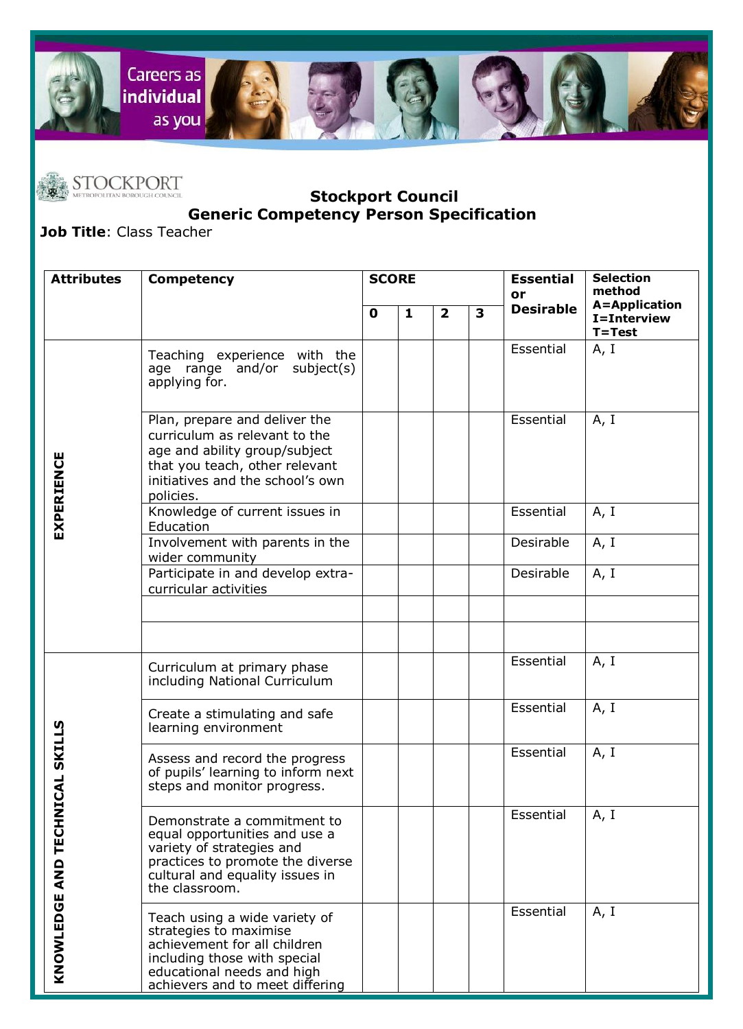



## **STOCKPORT**<br>METROPOLITAN BOROUGH COUNCIL COUNCIL **Stockport Council Generic Competency Person Specification**

**Job Title**: Class Teacher

| <b>Attributes</b>                  | <b>Competency</b>                                                                                                                                                                        | <b>SCORE</b> |   |                |   | <b>Essential</b><br>or | <b>Selection</b><br>method                 |
|------------------------------------|------------------------------------------------------------------------------------------------------------------------------------------------------------------------------------------|--------------|---|----------------|---|------------------------|--------------------------------------------|
|                                    |                                                                                                                                                                                          | $\mathbf 0$  | 1 | $\overline{2}$ | 3 | <b>Desirable</b>       | A=Application<br>I=Interview<br>$T = Test$ |
| EXPERIENCE                         | Teaching experience with the<br>age range and/or<br>subject(s)<br>applying for.                                                                                                          |              |   |                |   | Essential              | A, I                                       |
|                                    | Plan, prepare and deliver the<br>curriculum as relevant to the<br>age and ability group/subject<br>that you teach, other relevant<br>initiatives and the school's own<br>policies.       |              |   |                |   | Essential              | A, I                                       |
|                                    | Knowledge of current issues in<br>Education                                                                                                                                              |              |   |                |   | Essential              | A, I                                       |
|                                    | Involvement with parents in the<br>wider community                                                                                                                                       |              |   |                |   | Desirable              | A, I                                       |
|                                    | Participate in and develop extra-<br>curricular activities                                                                                                                               |              |   |                |   | Desirable              | A, I                                       |
|                                    |                                                                                                                                                                                          |              |   |                |   |                        |                                            |
|                                    |                                                                                                                                                                                          |              |   |                |   |                        |                                            |
| HNICAL SKILLS<br>KNOWLEDGE AND TEC | Curriculum at primary phase<br>including National Curriculum                                                                                                                             |              |   |                |   | Essential              | A, I                                       |
|                                    | Create a stimulating and safe<br>learning environment                                                                                                                                    |              |   |                |   | Essential              | A, I                                       |
|                                    | Assess and record the progress<br>of pupils' learning to inform next<br>steps and monitor progress.                                                                                      |              |   |                |   | Essential              | A, I                                       |
|                                    | Demonstrate a commitment to<br>equal opportunities and use a<br>variety of strategies and<br>practices to promote the diverse<br>cultural and equality issues in<br>the classroom.       |              |   |                |   | Essential              | A, I                                       |
|                                    | Teach using a wide variety of<br>strategies to maximise<br>achievement for all children<br>including those with special<br>educational needs and high<br>achievers and to meet differing |              |   |                |   | Essential              | A, I                                       |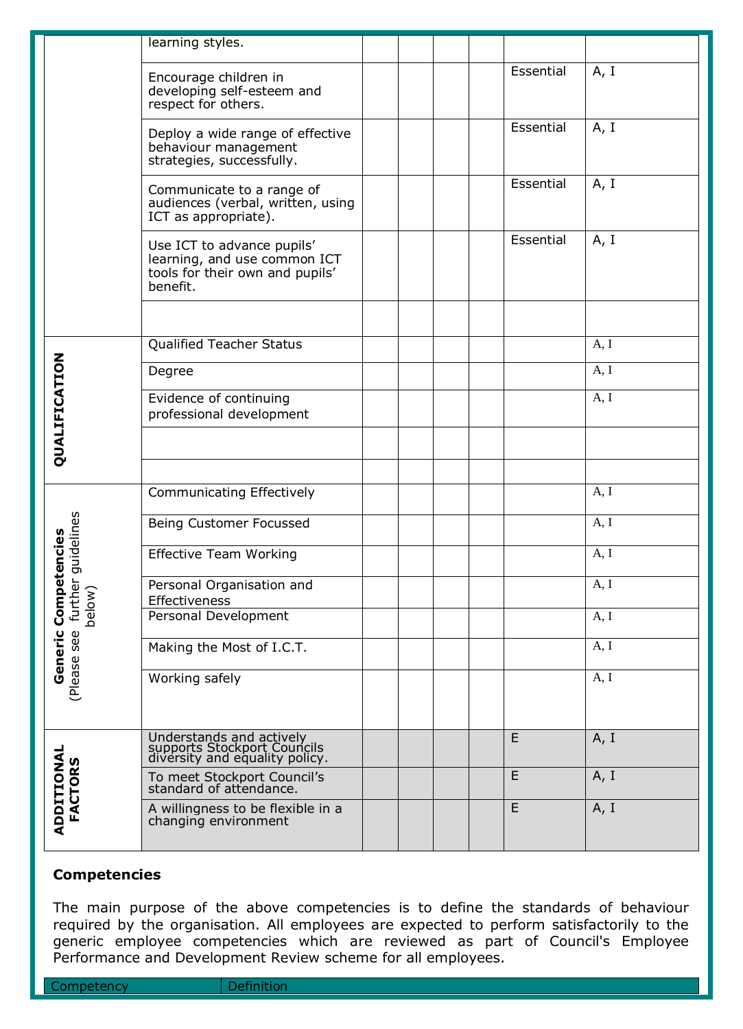|                                | learning styles.                                                                                          |  |  |             |      |
|--------------------------------|-----------------------------------------------------------------------------------------------------------|--|--|-------------|------|
|                                | Encourage children in<br>developing self-esteem and<br>respect for others.                                |  |  | Essential   | A, I |
|                                | Deploy a wide range of effective<br>behaviour management<br>strategies, successfully.                     |  |  | Essential   | A, I |
|                                | Communicate to a range of<br>audiences (verbal, written, using<br>ICT as appropriate).                    |  |  | Essential   | A, I |
|                                | Use ICT to advance pupils'<br>learning, and use common ICT<br>tools for their own and pupils'<br>benefit. |  |  | Essential   | A, I |
|                                |                                                                                                           |  |  |             |      |
|                                | <b>Qualified Teacher Status</b>                                                                           |  |  |             | A, I |
| QUALIFICATION                  | Degree                                                                                                    |  |  |             | A, I |
|                                | Evidence of continuing<br>professional development                                                        |  |  |             | A, I |
|                                |                                                                                                           |  |  |             |      |
| further guidelines<br>etencies | <b>Communicating Effectively</b>                                                                          |  |  |             | A, I |
|                                | Being Customer Focussed                                                                                   |  |  |             | A, I |
|                                | <b>Effective Team Working</b>                                                                             |  |  |             | A, I |
| Comp<br>below)                 | Personal Organisation and<br>Effectiveness                                                                |  |  |             | A, I |
| Generic<br>(Please see         | Personal Development                                                                                      |  |  |             | A, I |
|                                | Making the Most of I.C.T.                                                                                 |  |  |             | A, I |
|                                | Working safely                                                                                            |  |  |             | A, I |
| ADDITIONAL<br><b>FACTORS</b>   | Understands and actively<br>supports Stockport Councils<br>diversity and equality policy.                 |  |  | E           | A, I |
|                                | To meet Stockport Council's<br>standard of attendance.                                                    |  |  | E           | A, I |
|                                | A willingness to be flexible in a<br>changing environment                                                 |  |  | $\mathsf E$ | A, I |

## **Competencies**

The main purpose of the above competencies is to define the standards of behaviour required by the organisation. All employees are expected to perform satisfactorily to the generic employee competencies which are reviewed as part of Council's Employee Performance and Development Review scheme for all employees.